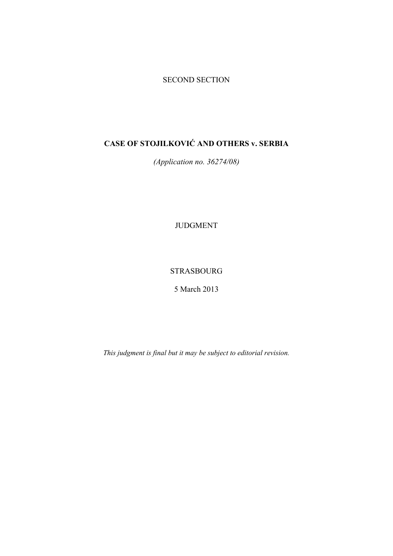# SECOND SECTION

# **CASE OF STOJILKOVIĆ AND OTHERS v. SERBIA**

*(Application no. 36274/08)* 

JUDGMENT

STRASBOURG

5 March 2013

*This judgment is final but it may be subject to editorial revision.*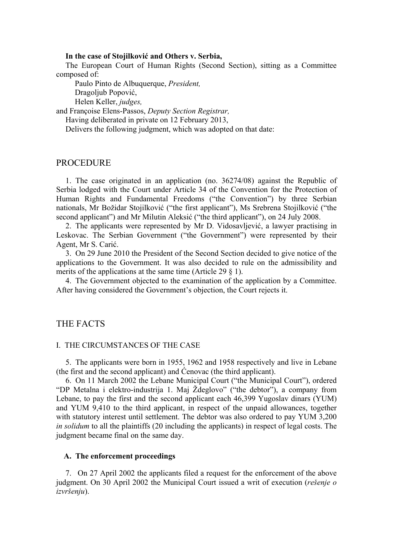### **In the case of Stojilković and Others v. Serbia,**

The European Court of Human Rights (Second Section), sitting as a Committee composed of:

Paulo Pinto de Albuquerque, *President,* 

Dragoljub Popović,

Helen Keller, *judges,*

and Françoise Elens-Passos, *Deputy Section Registrar,*

Having deliberated in private on 12 February 2013,

Delivers the following judgment, which was adopted on that date:

# PROCEDURE

1. The case originated in an application (no. 36274/08) against the Republic of Serbia lodged with the Court under Article 34 of the Convention for the Protection of Human Rights and Fundamental Freedoms ("the Convention") by three Serbian nationals, Mr Božidar Stojilković ("the first applicant"), Ms Srebrena Stojilković ("the second applicant") and Mr Milutin Aleksić ("the third applicant"), on 24 July 2008.

2. The applicants were represented by Mr D. Vidosavljević, a lawyer practising in Leskovac. The Serbian Government ("the Government") were represented by their Agent, Mr S. Carić.

3. On 29 June 2010 the President of the Second Section decided to give notice of the applications to the Government. It was also decided to rule on the admissibility and merits of the applications at the same time (Article 29  $\S$  1).

4. The Government objected to the examination of the application by a Committee. After having considered the Government's objection, the Court rejects it.

## THE FACTS

#### I. THE CIRCUMSTANCES OF THE CASE

5. The applicants were born in 1955, 1962 and 1958 respectively and live in Lebane (the first and the second applicant) and Ćenovac (the third applicant).

6. On 11 March 2002 the Lebane Municipal Court ("the Municipal Court"), ordered "DP Metalna i elektro-industrija 1. Maj Ždeglovo" ("the debtor"), a company from Lebane, to pay the first and the second applicant each 46,399 Yugoslav dinars (YUM) and YUM 9,410 to the third applicant, in respect of the unpaid allowances, together with statutory interest until settlement. The debtor was also ordered to pay YUM 3.200 *in solidum* to all the plaintiffs (20 including the applicants) in respect of legal costs. The judgment became final on the same day.

#### **A. The enforcement proceedings**

7. On 27 April 2002 the applicants filed a request for the enforcement of the above judgment. On 30 April 2002 the Municipal Court issued a writ of execution (*rešenje o izvršenju*).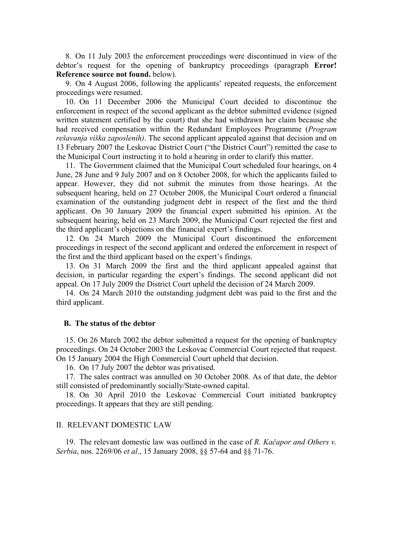8. On 11 July 2003 the enforcement proceedings were discontinued in view of the debtor's request for the opening of bankruptcy proceedings (paragraph **Error! Reference source not found.** below).

9. On 4 August 2006, following the applicants' repeated requests, the enforcement proceedings were resumed.

10. On 11 December 2006 the Municipal Court decided to discontinue the enforcement in respect of the second applicant as the debtor submitted evidence (signed written statement certified by the court) that she had withdrawn her claim because she had received compensation within the Redundant Employees Programme (*Program rešavanja viška zaposlenih)*. The second applicant appealed against that decision and on 13 February 2007 the Leskovac District Court ("the District Court") remitted the case to the Municipal Court instructing it to hold a hearing in order to clarify this matter.

11. The Government claimed that the Municipal Court scheduled four hearings, on 4 June, 28 June and 9 July 2007 and on 8 October 2008, for which the applicants failed to appear. However, they did not submit the minutes from those hearings. At the subsequent hearing, held on 27 October 2008, the Municipal Court ordered a financial examination of the outstanding judgment debt in respect of the first and the third applicant. On 30 January 2009 the financial expert submitted his opinion. At the subsequent hearing, held on 23 March 2009, the Municipal Court rejected the first and the third applicant's objections on the financial expert's findings.

12. On 24 March 2009 the Municipal Court discontinued the enforcement proceedings in respect of the second applicant and ordered the enforcement in respect of the first and the third applicant based on the expert's findings.

13. On 31 March 2009 the first and the third applicant appealed against that decision, in particular regarding the expert's findings. The second applicant did not appeal. On 17 July 2009 the District Court upheld the decision of 24 March 2009.

14. On 24 March 2010 the outstanding judgment debt was paid to the first and the third applicant.

#### **B. The status of the debtor**

15. On 26 March 2002 the debtor submitted a request for the opening of bankruptcy proceedings. On 24 October 2003 the Leskovac Commercial Court rejected that request. On 15 January 2004 the High Commercial Court upheld that decision.

16. On 17 July 2007 the debtor was privatised.

17. The sales contract was annulled on 30 October 2008. As of that date, the debtor still consisted of predominantly socially/State-owned capital.

18. On 30 April 2010 the Leskovac Commercial Court initiated bankruptcy proceedings. It appears that they are still pending.

### II. RELEVANT DOMESTIC LAW

19. The relevant domestic law was outlined in the case of *R. Kačapor and Others v. Serbia*, nos. 2269/06 *et al*., 15 January 2008, §§ 57-64 and §§ 71-76.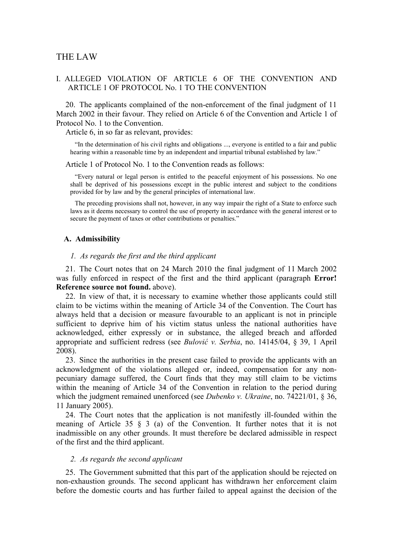# THE LAW

# I. ALLEGED VIOLATION OF ARTICLE 6 OF THE CONVENTION AND ARTICLE 1 OF PROTOCOL No. 1 TO THE CONVENTION

20. The applicants complained of the non-enforcement of the final judgment of 11 March 2002 in their favour. They relied on Article 6 of the Convention and Article 1 of Protocol No. 1 to the Convention.

Article 6, in so far as relevant, provides:

"In the determination of his civil rights and obligations ..., everyone is entitled to a fair and public hearing within a reasonable time by an independent and impartial tribunal established by law."

Article 1 of Protocol No. 1 to the Convention reads as follows:

"Every natural or legal person is entitled to the peaceful enjoyment of his possessions. No one shall be deprived of his possessions except in the public interest and subject to the conditions provided for by law and by the general principles of international law.

The preceding provisions shall not, however, in any way impair the right of a State to enforce such laws as it deems necessary to control the use of property in accordance with the general interest or to secure the payment of taxes or other contributions or penalties."

#### **A. Admissibility**

#### *1. As regards the first and the third applicant*

21. The Court notes that on 24 March 2010 the final judgment of 11 March 2002 was fully enforced in respect of the first and the third applicant (paragraph **Error! Reference source not found.** above).

22. In view of that, it is necessary to examine whether those applicants could still claim to be victims within the meaning of Article 34 of the Convention. The Court has always held that a decision or measure favourable to an applicant is not in principle sufficient to deprive him of his victim status unless the national authorities have acknowledged, either expressly or in substance, the alleged breach and afforded appropriate and sufficient redress (see *Bulović v. Serbia*, no. 14145/04, § 39, 1 April 2008).

23. Since the authorities in the present case failed to provide the applicants with an acknowledgment of the violations alleged or, indeed, compensation for any nonpecuniary damage suffered, the Court finds that they may still claim to be victims within the meaning of Article 34 of the Convention in relation to the period during which the judgment remained unenforced (see *Dubenko v. Ukraine*, no. 74221/01, § 36, 11 January 2005).

24. The Court notes that the application is not manifestly ill-founded within the meaning of Article 35  $\frac{1}{2}$  (a) of the Convention. It further notes that it is not inadmissible on any other grounds. It must therefore be declared admissible in respect of the first and the third applicant.

#### *2. As regards the second applicant*

25. The Government submitted that this part of the application should be rejected on non-exhaustion grounds. The second applicant has withdrawn her enforcement claim before the domestic courts and has further failed to appeal against the decision of the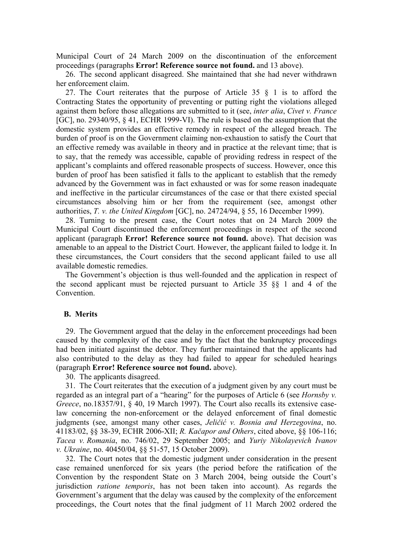Municipal Court of 24 March 2009 on the discontinuation of the enforcement proceedings (paragraphs **Error! Reference source not found.** and 13 above).

26. The second applicant disagreed. She maintained that she had never withdrawn her enforcement claim.

27. The Court reiterates that the purpose of Article 35 § 1 is to afford the Contracting States the opportunity of preventing or putting right the violations alleged against them before those allegations are submitted to it (see, *inter alia*, *Civet v. France* [GC], no. 29340/95, § 41, ECHR 1999-VI). The rule is based on the assumption that the domestic system provides an effective remedy in respect of the alleged breach. The burden of proof is on the Government claiming non-exhaustion to satisfy the Court that an effective remedy was available in theory and in practice at the relevant time; that is to say, that the remedy was accessible, capable of providing redress in respect of the applicant's complaints and offered reasonable prospects of success. However, once this burden of proof has been satisfied it falls to the applicant to establish that the remedy advanced by the Government was in fact exhausted or was for some reason inadequate and ineffective in the particular circumstances of the case or that there existed special circumstances absolving him or her from the requirement (see, amongst other authorities, *T. v. the United Kingdom* [GC], no. 24724/94, § 55, 16 December 1999).

28. Turning to the present case, the Court notes that on 24 March 2009 the Municipal Court discontinued the enforcement proceedings in respect of the second applicant (paragraph **Error! Reference source not found.** above). That decision was amenable to an appeal to the District Court. However, the applicant failed to lodge it. In these circumstances, the Court considers that the second applicant failed to use all available domestic remedies.

The Government's objection is thus well-founded and the application in respect of the second applicant must be rejected pursuant to Article 35 §§ 1 and 4 of the Convention.

# **B. Merits**

29. The Government argued that the delay in the enforcement proceedings had been caused by the complexity of the case and by the fact that the bankruptcy proceedings had been initiated against the debtor. They further maintained that the applicants had also contributed to the delay as they had failed to appear for scheduled hearings (paragraph **Error! Reference source not found.** above).

30. The applicants disagreed.

31. The Court reiterates that the execution of a judgment given by any court must be regarded as an integral part of a "hearing" for the purposes of Article 6 (see *Hornsby v. Greece*, no.18357/91, § 40, 19 March 1997). The Court also recalls its extensive caselaw concerning the non-enforcement or the delayed enforcement of final domestic judgments (see, amongst many other cases, *Jeličić v. Bosnia and Herzegovina*, no. 41183/02, §§ 38-39, ECHR 2006-XII; *R. Kačapor and Others*, cited above, §§ 106-116; *Tacea v. Romania*, no. 746/02, 29 September 2005; and *Yuriy Nikolayevich Ivanov v. Ukraine*, no. 40450/04, §§ 51-57, 15 October 2009).

32. The Court notes that the domestic judgment under consideration in the present case remained unenforced for six years (the period before the ratification of the Convention by the respondent State on 3 March 2004, being outside the Court's jurisdiction *ratione temporis*, has not been taken into account). As regards the Government's argument that the delay was caused by the complexity of the enforcement proceedings, the Court notes that the final judgment of 11 March 2002 ordered the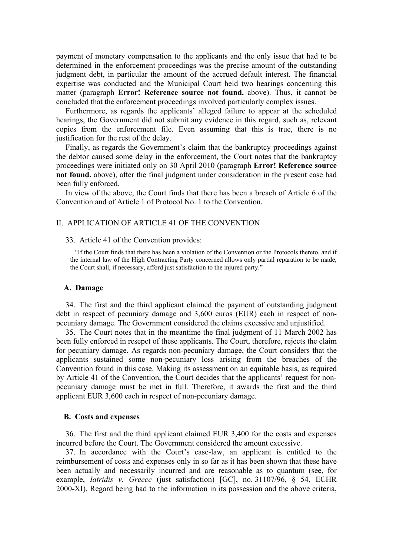payment of monetary compensation to the applicants and the only issue that had to be determined in the enforcement proceedings was the precise amount of the outstanding judgment debt, in particular the amount of the accrued default interest. The financial expertise was conducted and the Municipal Court held two hearings concerning this matter (paragraph **Error! Reference source not found.** above). Thus, it cannot be concluded that the enforcement proceedings involved particularly complex issues.

Furthermore, as regards the applicants' alleged failure to appear at the scheduled hearings, the Government did not submit any evidence in this regard, such as, relevant copies from the enforcement file. Even assuming that this is true, there is no justification for the rest of the delay.

Finally, as regards the Government's claim that the bankruptcy proceedings against the debtor caused some delay in the enforcement, the Court notes that the bankruptcy proceedings were initiated only on 30 April 2010 (paragraph **Error! Reference source not found.** above), after the final judgment under consideration in the present case had been fully enforced.

In view of the above, the Court finds that there has been a breach of Article 6 of the Convention and of Article 1 of Protocol No. 1 to the Convention.

## II. APPLICATION OF ARTICLE 41 OF THE CONVENTION

#### 33. Article 41 of the Convention provides:

"If the Court finds that there has been a violation of the Convention or the Protocols thereto, and if the internal law of the High Contracting Party concerned allows only partial reparation to be made, the Court shall, if necessary, afford just satisfaction to the injured party."

#### **A. Damage**

34. The first and the third applicant claimed the payment of outstanding judgment debt in respect of pecuniary damage and 3,600 euros (EUR) each in respect of nonpecuniary damage. The Government considered the claims excessive and unjustified.

35. The Court notes that in the meantime the final judgment of 11 March 2002 has been fully enforced in resepct of these applicants. The Court, therefore, rejects the claim for pecuniary damage. As regards non-pecuniary damage, the Court considers that the applicants sustained some non-pecuniary loss arising from the breaches of the Convention found in this case. Making its assessment on an equitable basis, as required by Article 41 of the Convention, the Court decides that the applicants' request for nonpecuniary damage must be met in full. Therefore, it awards the first and the third applicant EUR 3,600 each in respect of non-pecuniary damage.

#### **B. Costs and expenses**

36. The first and the third applicant claimed EUR 3,400 for the costs and expenses incurred before the Court. The Government considered the amount excessive.

37. In accordance with the Court's case-law, an applicant is entitled to the reimbursement of costs and expenses only in so far as it has been shown that these have been actually and necessarily incurred and are reasonable as to quantum (see, for example, *Iatridis v. Greece* (just satisfaction) [GC], no. 31107/96, § 54, ECHR 2000-XI). Regard being had to the information in its possession and the above criteria,